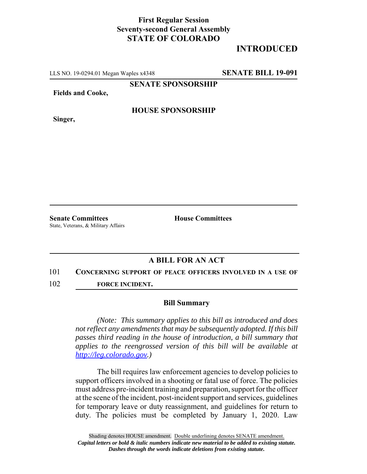## **First Regular Session Seventy-second General Assembly STATE OF COLORADO**

# **INTRODUCED**

LLS NO. 19-0294.01 Megan Waples x4348 **SENATE BILL 19-091**

**SENATE SPONSORSHIP**

**Fields and Cooke,**

**Singer,**

### **HOUSE SPONSORSHIP**

**Senate Committees House Committees** State, Veterans, & Military Affairs

## **A BILL FOR AN ACT**

#### 101 **CONCERNING SUPPORT OF PEACE OFFICERS INVOLVED IN A USE OF**

102 **FORCE INCIDENT.**

#### **Bill Summary**

*(Note: This summary applies to this bill as introduced and does not reflect any amendments that may be subsequently adopted. If this bill passes third reading in the house of introduction, a bill summary that applies to the reengrossed version of this bill will be available at http://leg.colorado.gov.)*

The bill requires law enforcement agencies to develop policies to support officers involved in a shooting or fatal use of force. The policies must address pre-incident training and preparation, support for the officer at the scene of the incident, post-incident support and services, guidelines for temporary leave or duty reassignment, and guidelines for return to duty. The policies must be completed by January 1, 2020. Law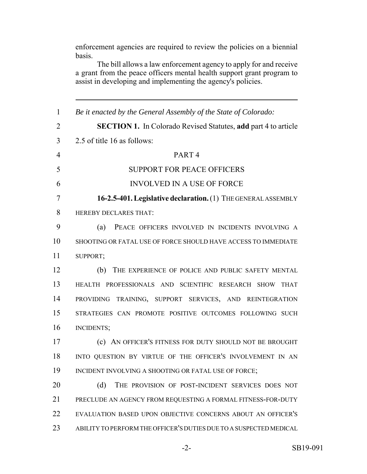enforcement agencies are required to review the policies on a biennial basis.

The bill allows a law enforcement agency to apply for and receive a grant from the peace officers mental health support grant program to assist in developing and implementing the agency's policies.

 *Be it enacted by the General Assembly of the State of Colorado:* **SECTION 1.** In Colorado Revised Statutes, **add** part 4 to article 2.5 of title 16 as follows: PART 4 SUPPORT FOR PEACE OFFICERS INVOLVED IN A USE OF FORCE **16-2.5-401. Legislative declaration.** (1) THE GENERAL ASSEMBLY HEREBY DECLARES THAT: (a) PEACE OFFICERS INVOLVED IN INCIDENTS INVOLVING A SHOOTING OR FATAL USE OF FORCE SHOULD HAVE ACCESS TO IMMEDIATE SUPPORT; (b) THE EXPERIENCE OF POLICE AND PUBLIC SAFETY MENTAL HEALTH PROFESSIONALS AND SCIENTIFIC RESEARCH SHOW THAT PROVIDING TRAINING, SUPPORT SERVICES, AND REINTEGRATION STRATEGIES CAN PROMOTE POSITIVE OUTCOMES FOLLOWING SUCH INCIDENTS; (c) AN OFFICER'S FITNESS FOR DUTY SHOULD NOT BE BROUGHT INTO QUESTION BY VIRTUE OF THE OFFICER'S INVOLVEMENT IN AN 19 INCIDENT INVOLVING A SHOOTING OR FATAL USE OF FORCE; 20 (d) THE PROVISION OF POST-INCIDENT SERVICES DOES NOT PRECLUDE AN AGENCY FROM REQUESTING A FORMAL FITNESS-FOR-DUTY EVALUATION BASED UPON OBJECTIVE CONCERNS ABOUT AN OFFICER'S ABILITY TO PERFORM THE OFFICER'S DUTIES DUE TO A SUSPECTED MEDICAL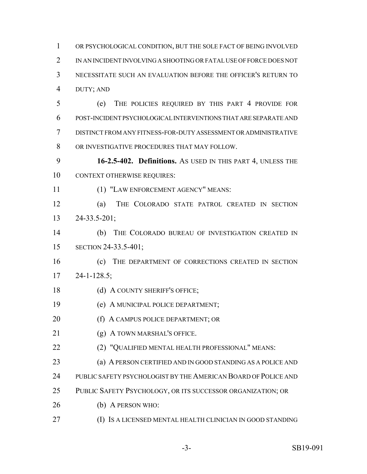OR PSYCHOLOGICAL CONDITION, BUT THE SOLE FACT OF BEING INVOLVED IN AN INCIDENT INVOLVING A SHOOTING OR FATAL USE OF FORCE DOES NOT NECESSITATE SUCH AN EVALUATION BEFORE THE OFFICER'S RETURN TO DUTY; AND (e) THE POLICIES REQUIRED BY THIS PART 4 PROVIDE FOR POST-INCIDENT PSYCHOLOGICAL INTERVENTIONS THAT ARE SEPARATE AND DISTINCT FROM ANY FITNESS-FOR-DUTY ASSESSMENT OR ADMINISTRATIVE OR INVESTIGATIVE PROCEDURES THAT MAY FOLLOW. **16-2.5-402. Definitions.** AS USED IN THIS PART 4, UNLESS THE CONTEXT OTHERWISE REQUIRES: (1) "LAW ENFORCEMENT AGENCY" MEANS: (a) THE COLORADO STATE PATROL CREATED IN SECTION 24-33.5-201; (b) THE COLORADO BUREAU OF INVESTIGATION CREATED IN SECTION 24-33.5-401; (c) THE DEPARTMENT OF CORRECTIONS CREATED IN SECTION 24-1-128.5; 18 (d) A COUNTY SHERIFF'S OFFICE; (e) A MUNICIPAL POLICE DEPARTMENT; 20 (f) A CAMPUS POLICE DEPARTMENT; OR (g) A TOWN MARSHAL'S OFFICE. (2) "QUALIFIED MENTAL HEALTH PROFESSIONAL" MEANS: (a) A PERSON CERTIFIED AND IN GOOD STANDING AS A POLICE AND PUBLIC SAFETY PSYCHOLOGIST BY THE AMERICAN BOARD OF POLICE AND PUBLIC SAFETY PSYCHOLOGY, OR ITS SUCCESSOR ORGANIZATION; OR (b) A PERSON WHO: (I) IS A LICENSED MENTAL HEALTH CLINICIAN IN GOOD STANDING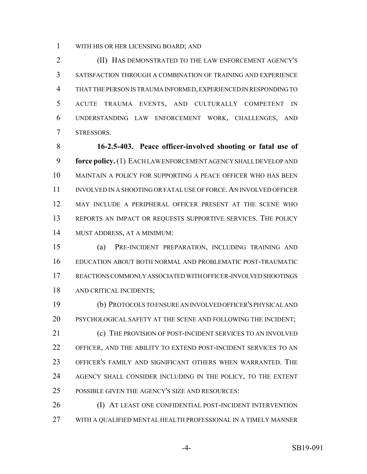WITH HIS OR HER LICENSING BOARD; AND

 (II) HAS DEMONSTRATED TO THE LAW ENFORCEMENT AGENCY'S SATISFACTION THROUGH A COMBINATION OF TRAINING AND EXPERIENCE THAT THE PERSON IS TRAUMA INFORMED, EXPERIENCED IN RESPONDING TO ACUTE TRAUMA EVENTS, AND CULTURALLY COMPETENT IN UNDERSTANDING LAW ENFORCEMENT WORK, CHALLENGES, AND STRESSORS.

 **16-2.5-403. Peace officer-involved shooting or fatal use of force policy.** (1) EACH LAW ENFORCEMENT AGENCY SHALL DEVELOP AND MAINTAIN A POLICY FOR SUPPORTING A PEACE OFFICER WHO HAS BEEN INVOLVED IN A SHOOTING OR FATAL USE OF FORCE.AN INVOLVED OFFICER MAY INCLUDE A PERIPHERAL OFFICER PRESENT AT THE SCENE WHO REPORTS AN IMPACT OR REQUESTS SUPPORTIVE SERVICES. THE POLICY MUST ADDRESS, AT A MINIMUM:

 (a) PRE-INCIDENT PREPARATION, INCLUDING TRAINING AND EDUCATION ABOUT BOTH NORMAL AND PROBLEMATIC POST-TRAUMATIC REACTIONS COMMONLY ASSOCIATED WITH OFFICER-INVOLVED SHOOTINGS AND CRITICAL INCIDENTS;

 (b) PROTOCOLS TO ENSURE AN INVOLVED OFFICER'S PHYSICAL AND PSYCHOLOGICAL SAFETY AT THE SCENE AND FOLLOWING THE INCIDENT; 21 (c) THE PROVISION OF POST-INCIDENT SERVICES TO AN INVOLVED OFFICER, AND THE ABILITY TO EXTEND POST-INCIDENT SERVICES TO AN OFFICER'S FAMILY AND SIGNIFICANT OTHERS WHEN WARRANTED. THE AGENCY SHALL CONSIDER INCLUDING IN THE POLICY, TO THE EXTENT POSSIBLE GIVEN THE AGENCY'S SIZE AND RESOURCES:

 (I) AT LEAST ONE CONFIDENTIAL POST-INCIDENT INTERVENTION WITH A QUALIFIED MENTAL HEALTH PROFESSIONAL IN A TIMELY MANNER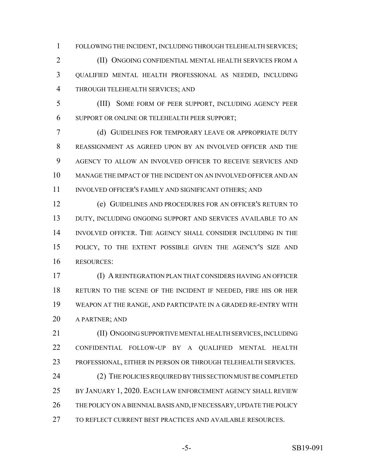FOLLOWING THE INCIDENT, INCLUDING THROUGH TELEHEALTH SERVICES;

 (II) ONGOING CONFIDENTIAL MENTAL HEALTH SERVICES FROM A QUALIFIED MENTAL HEALTH PROFESSIONAL AS NEEDED, INCLUDING THROUGH TELEHEALTH SERVICES; AND

 (III) SOME FORM OF PEER SUPPORT, INCLUDING AGENCY PEER SUPPORT OR ONLINE OR TELEHEALTH PEER SUPPORT;

 (d) GUIDELINES FOR TEMPORARY LEAVE OR APPROPRIATE DUTY REASSIGNMENT AS AGREED UPON BY AN INVOLVED OFFICER AND THE AGENCY TO ALLOW AN INVOLVED OFFICER TO RECEIVE SERVICES AND MANAGE THE IMPACT OF THE INCIDENT ON AN INVOLVED OFFICER AND AN 11 INVOLVED OFFICER'S FAMILY AND SIGNIFICANT OTHERS; AND

 (e) GUIDELINES AND PROCEDURES FOR AN OFFICER'S RETURN TO 13 DUTY, INCLUDING ONGOING SUPPORT AND SERVICES AVAILABLE TO AN INVOLVED OFFICER. THE AGENCY SHALL CONSIDER INCLUDING IN THE POLICY, TO THE EXTENT POSSIBLE GIVEN THE AGENCY'S SIZE AND RESOURCES:

 (I) A REINTEGRATION PLAN THAT CONSIDERS HAVING AN OFFICER RETURN TO THE SCENE OF THE INCIDENT IF NEEDED, FIRE HIS OR HER WEAPON AT THE RANGE, AND PARTICIPATE IN A GRADED RE-ENTRY WITH A PARTNER; AND

 (II) ONGOING SUPPORTIVE MENTAL HEALTH SERVICES, INCLUDING CONFIDENTIAL FOLLOW-UP BY A QUALIFIED MENTAL HEALTH PROFESSIONAL, EITHER IN PERSON OR THROUGH TELEHEALTH SERVICES.

24 (2) THE POLICIES REQUIRED BY THIS SECTION MUST BE COMPLETED BY JANUARY 1, 2020. EACH LAW ENFORCEMENT AGENCY SHALL REVIEW THE POLICY ON A BIENNIAL BASIS AND, IF NECESSARY, UPDATE THE POLICY TO REFLECT CURRENT BEST PRACTICES AND AVAILABLE RESOURCES.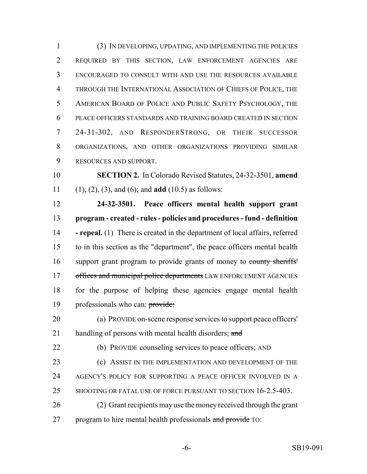(3) IN DEVELOPING, UPDATING, AND IMPLEMENTING THE POLICIES REQUIRED BY THIS SECTION, LAW ENFORCEMENT AGENCIES ARE ENCOURAGED TO CONSULT WITH AND USE THE RESOURCES AVAILABLE THROUGH THE INTERNATIONAL ASSOCIATION OF CHIEFS OF POLICE, THE AMERICAN BOARD OF POLICE AND PUBLIC SAFETY PSYCHOLOGY, THE PEACE OFFICERS STANDARDS AND TRAINING BOARD CREATED IN SECTION 24-31-302, AND RESPONDERSTRONG, OR THEIR SUCCESSOR ORGANIZATIONS, AND OTHER ORGANIZATIONS PROVIDING SIMILAR RESOURCES AND SUPPORT.

 **SECTION 2.** In Colorado Revised Statutes, 24-32-3501, **amend** (1), (2), (3), and (6); and **add** (10.5) as follows:

 **24-32-3501. Peace officers mental health support grant program - created - rules - policies and procedures - fund - definition - repeal.** (1) There is created in the department of local affairs, referred to in this section as the "department", the peace officers mental health support grant program to provide grants of money to county sheriffs' 17 offices and municipal police departments LAW ENFORCEMENT AGENCIES for the purpose of helping these agencies engage mental health 19 professionals who can: provide:

 (a) PROVIDE on-scene response services to support peace officers' 21 handling of persons with mental health disorders; and

(b) PROVIDE counseling services to peace officers; AND

**(c)** ASSIST IN THE IMPLEMENTATION AND DEVELOPMENT OF THE

AGENCY'S POLICY FOR SUPPORTING A PEACE OFFICER INVOLVED IN A

- 25 SHOOTING OR FATAL USE OF FORCE PURSUANT TO SECTION 16-2.5-403.
- (2) Grant recipients may use the money received through the grant 27 program to hire mental health professionals and provide TO: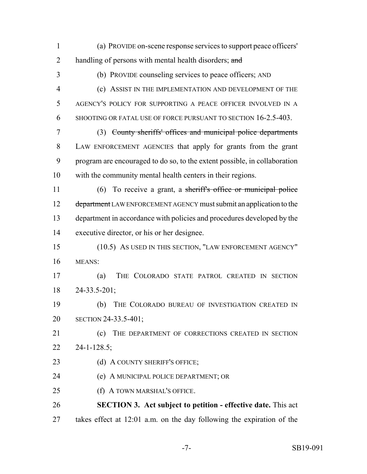(a) PROVIDE on-scene response services to support peace officers' 2 handling of persons with mental health disorders; and (b) PROVIDE counseling services to peace officers; AND (c) ASSIST IN THE IMPLEMENTATION AND DEVELOPMENT OF THE AGENCY'S POLICY FOR SUPPORTING A PEACE OFFICER INVOLVED IN A SHOOTING OR FATAL USE OF FORCE PURSUANT TO SECTION 16-2.5-403. (3) County sheriffs' offices and municipal police departments LAW ENFORCEMENT AGENCIES that apply for grants from the grant program are encouraged to do so, to the extent possible, in collaboration with the community mental health centers in their regions. 11 (6) To receive a grant, a sheriff's office or municipal police 12 department LAW ENFORCEMENT AGENCY must submit an application to the department in accordance with policies and procedures developed by the executive director, or his or her designee. (10.5) AS USED IN THIS SECTION, "LAW ENFORCEMENT AGENCY" MEANS: (a) THE COLORADO STATE PATROL CREATED IN SECTION 24-33.5-201; (b) THE COLORADO BUREAU OF INVESTIGATION CREATED IN SECTION 24-33.5-401; 21 (c) THE DEPARTMENT OF CORRECTIONS CREATED IN SECTION 24-1-128.5; 23 (d) A COUNTY SHERIFF'S OFFICE; (e) A MUNICIPAL POLICE DEPARTMENT; OR (f) A TOWN MARSHAL'S OFFICE. **SECTION 3. Act subject to petition - effective date.** This act takes effect at 12:01 a.m. on the day following the expiration of the